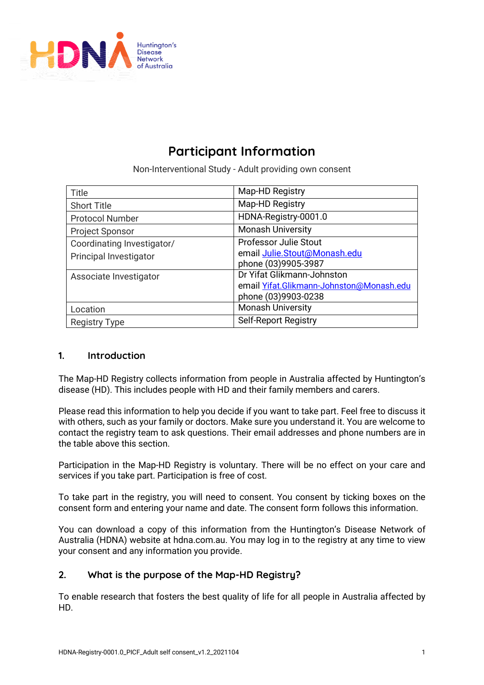

# **Participant Information**

Non-Interventional Study - Adult providing own consent

| Title                      | Map-HD Registry                          |
|----------------------------|------------------------------------------|
| <b>Short Title</b>         | Map-HD Registry                          |
| <b>Protocol Number</b>     | HDNA-Registry-0001.0                     |
| <b>Project Sponsor</b>     | <b>Monash University</b>                 |
| Coordinating Investigator/ | <b>Professor Julie Stout</b>             |
| Principal Investigator     | email Julie.Stout@Monash.edu             |
|                            | phone (03)9905-3987                      |
| Associate Investigator     | Dr Yifat Glikmann-Johnston               |
|                            | email Yifat.Glikmann-Johnston@Monash.edu |
|                            | phone (03)9903-0238                      |
| Location                   | <b>Monash University</b>                 |
| <b>Registry Type</b>       | <b>Self-Report Registry</b>              |

# **1. Introduction**

The Map-HD Registry collects information from people in Australia affected by Huntington's disease (HD). This includes people with HD and their family members and carers.

Please read this information to help you decide if you want to take part. Feel free to discuss it with others, such as your family or doctors. Make sure you understand it. You are welcome to contact the registry team to ask questions. Their email addresses and phone numbers are in the table above this section.

Participation in the Map-HD Registry is voluntary. There will be no effect on your care and services if you take part. Participation is free of cost.

To take part in the registry, you will need to consent. You consent by ticking boxes on the consent form and entering your name and date. The consent form follows this information.

You can download a copy of this information from the Huntington's Disease Network of Australia (HDNA) website at hdna.com.au. You may log in to the registry at any time to view your consent and any information you provide.

# **2. What is the purpose of the Map-HD Registry?**

To enable research that fosters the best quality of life for all people in Australia affected by HD.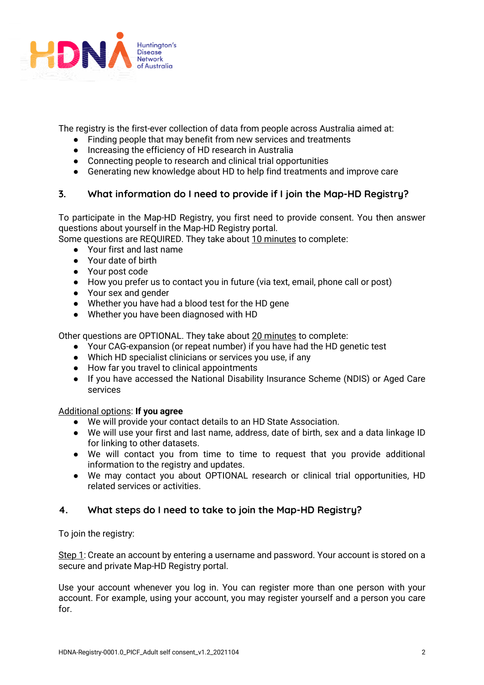

The registry is the first-ever collection of data from people across Australia aimed at:

- Finding people that may benefit from new services and treatments
- Increasing the efficiency of HD research in Australia
- Connecting people to research and clinical trial opportunities
- Generating new knowledge about HD to help find treatments and improve care

# **3. What information do I need to provide if I join the Map-HD Registry?**

To participate in the Map-HD Registry, you first need to provide consent. You then answer questions about yourself in the Map-HD Registry portal.

Some questions are REQUIRED. They take about 10 minutes to complete:

- Your first and last name
- Your date of birth
- Your post code
- How you prefer us to contact you in future (via text, email, phone call or post)
- Your sex and gender
- Whether you have had a blood test for the HD gene
- Whether you have been diagnosed with HD

Other questions are OPTIONAL. They take about 20 minutes to complete:

- Your CAG-expansion (or repeat number) if you have had the HD genetic test
- Which HD specialist clinicians or services you use, if any
- How far you travel to clinical appointments
- If you have accessed the National Disability Insurance Scheme (NDIS) or Aged Care services

### Additional options: **If you agree**

- We will provide your contact details to an HD State Association.
- We will use your first and last name, address, date of birth, sex and a data linkage ID for linking to other datasets.
- We will contact you from time to time to request that you provide additional information to the registry and updates.
- We may contact you about OPTIONAL research or clinical trial opportunities, HD related services or activities.

# **4. What steps do I need to take to join the Map-HD Registry?**

To join the registry:

Step 1: Create an account by entering a username and password. Your account is stored on a secure and private Map-HD Registry portal.

Use your account whenever you log in. You can register more than one person with your account. For example, using your account, you may register yourself and a person you care for.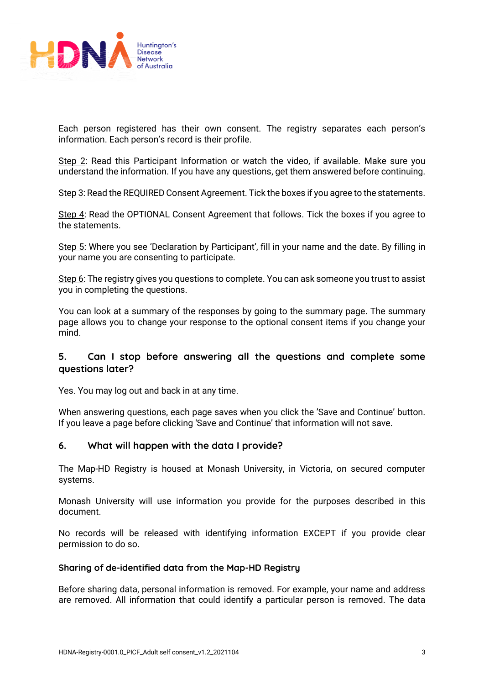

Each person registered has their own consent. The registry separates each person's information. Each person's record is their profile.

Step 2: Read this Participant Information or watch the video, if available. Make sure you understand the information. If you have any questions, get them answered before continuing.

Step 3: Read the REQUIRED Consent Agreement. Tick the boxes if you agree to the statements.

Step 4: Read the OPTIONAL Consent Agreement that follows. Tick the boxes if you agree to the statements.

Step 5: Where you see 'Declaration by Participant', fill in your name and the date. By filling in your name you are consenting to participate.

Step 6: The registry gives you questions to complete. You can ask someone you trust to assist you in completing the questions.

You can look at a summary of the responses by going to the summary page. The summary page allows you to change your response to the optional consent items if you change your mind.

## **5. Can I stop before answering all the questions and complete some questions later?**

Yes. You may log out and back in at any time.

When answering questions, each page saves when you click the 'Save and Continue' button. If you leave a page before clicking 'Save and Continue' that information will not save.

### **6. What will happen with the data I provide?**

The Map-HD Registry is housed at Monash University, in Victoria, on secured computer systems.

Monash University will use information you provide for the purposes described in this document.

No records will be released with identifying information EXCEPT if you provide clear permission to do so.

#### **Sharing of de-identified data from the Map-HD Registry**

Before sharing data, personal information is removed. For example, your name and address are removed. All information that could identify a particular person is removed. The data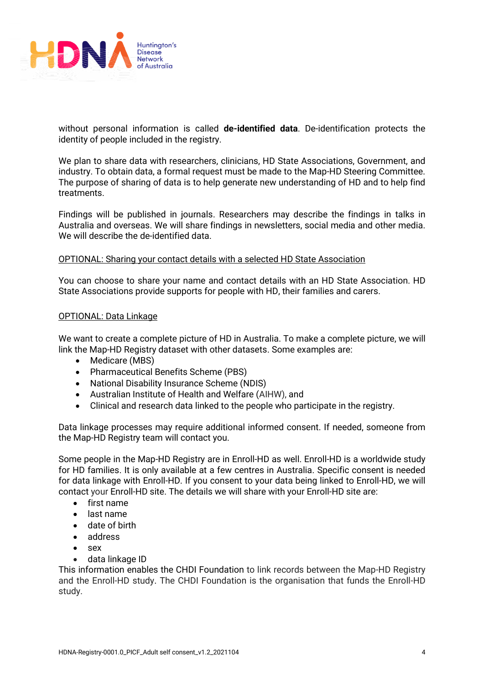

without personal information is called **de-identified data**. De-identification protects the identity of people included in the registry.

We plan to share data with researchers, clinicians, HD State Associations, Government, and industry. To obtain data, a formal request must be made to the Map-HD Steering Committee. The purpose of sharing of data is to help generate new understanding of HD and to help find treatments.

Findings will be published in journals. Researchers may describe the findings in talks in Australia and overseas. We will share findings in newsletters, social media and other media. We will describe the de-identified data.

#### OPTIONAL: Sharing your contact details with a selected HD State Association

You can choose to share your name and contact details with an HD State Association. HD State Associations provide supports for people with HD, their families and carers.

#### OPTIONAL: Data Linkage

We want to create a complete picture of HD in Australia. To make a complete picture, we will link the Map-HD Registry dataset with other datasets. Some examples are:

- Medicare (MBS)
- Pharmaceutical Benefits Scheme (PBS)
- National Disability Insurance Scheme (NDIS)
- Australian Institute of Health and Welfare (AIHW), and
- Clinical and research data linked to the people who participate in the registry.

Data linkage processes may require additional informed consent. If needed, someone from the Map-HD Registry team will contact you.

Some people in the Map-HD Registry are in Enroll-HD as well. Enroll-HD is a worldwide study for HD families. It is only available at a few centres in Australia. Specific consent is needed for data linkage with Enroll-HD. If you consent to your data being linked to Enroll-HD, we will contact your Enroll-HD site. The details we will share with your Enroll-HD site are:

- first name
- last name
- date of birth
- address
- sex
- data linkage ID

This information enables the CHDI Foundation to link records between the Map-HD Registry and the Enroll-HD study. The CHDI Foundation is the organisation that funds the Enroll-HD study.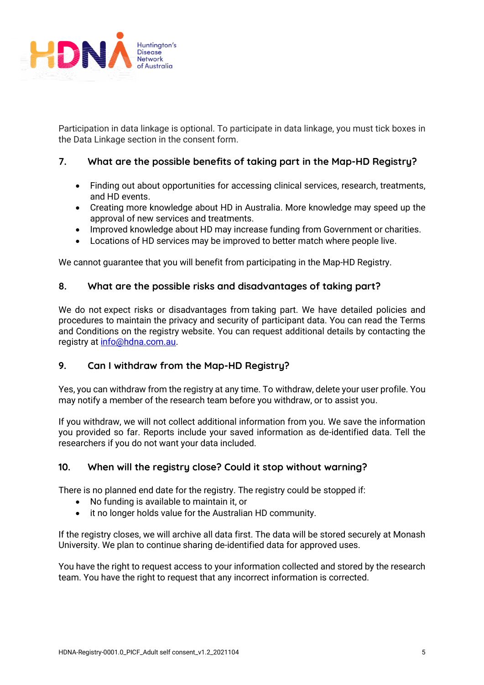

Participation in data linkage is optional. To participate in data linkage, you must tick boxes in the Data Linkage section in the consent form.

# **7. What are the possible benefits of taking part in the Map-HD Registry?**

- Finding out about opportunities for accessing clinical services, research, treatments, and HD events.
- Creating more knowledge about HD in Australia. More knowledge may speed up the approval of new services and treatments.
- Improved knowledge about HD may increase funding from Government or charities.
- Locations of HD services may be improved to better match where people live.

We cannot guarantee that you will benefit from participating in the Map-HD Registry.

## **8. What are the possible risks and disadvantages of taking part?**

We do not expect risks or disadvantages from taking part. We have detailed policies and procedures to maintain the privacy and security of participant data. You can read the Terms and Conditions on the registry website. You can request additional details by contacting the registry at info@hdna.com.au.

# **9. Can I withdraw from the Map-HD Registry?**

Yes, you can withdraw from the registry at any time. To withdraw, delete your user profile. You may notify a member of the research team before you withdraw, or to assist you.

If you withdraw, we will not collect additional information from you. We save the information you provided so far. Reports include your saved information as de-identified data. Tell the researchers if you do not want your data included.

# **10. When will the registry close? Could it stop without warning?**

There is no planned end date for the registry. The registry could be stopped if:

- No funding is available to maintain it, or
- it no longer holds value for the Australian HD community.

If the registry closes, we will archive all data first. The data will be stored securely at Monash University. We plan to continue sharing de-identified data for approved uses.

You have the right to request access to your information collected and stored by the research team. You have the right to request that any incorrect information is corrected.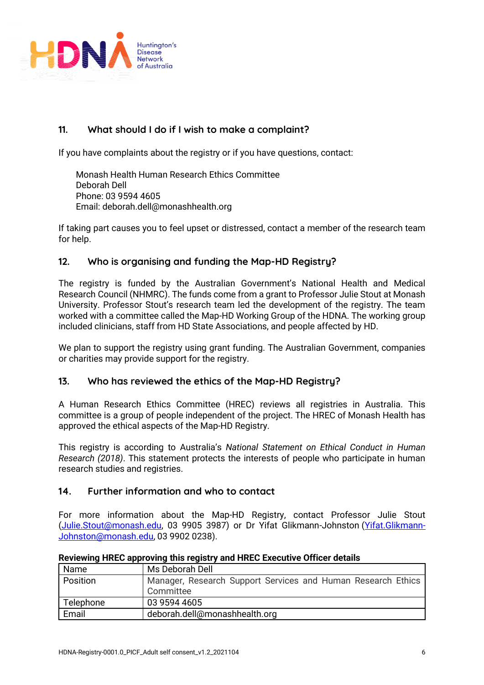

# **11. What should I do if I wish to make a complaint?**

If you have complaints about the registry or if you have questions, contact:

Monash Health Human Research Ethics Committee Deborah Dell Phone: 03 9594 4605 Email: deborah.dell@monashhealth.org

If taking part causes you to feel upset or distressed, contact a member of the research team for help.

# **12. Who is organising and funding the Map-HD Registry?**

The registry is funded by the Australian Government's National Health and Medical Research Council (NHMRC). The funds come from a grant to Professor Julie Stout at Monash University. Professor Stout's research team led the development of the registry. The team worked with a committee called the Map-HD Working Group of the HDNA. The working group included clinicians, staff from HD State Associations, and people affected by HD.

We plan to support the registry using grant funding. The Australian Government, companies or charities may provide support for the registry.

# **13. Who has reviewed the ethics of the Map-HD Registry?**

A Human Research Ethics Committee (HREC) reviews all registries in Australia. This committee is a group of people independent of the project. The HREC of Monash Health has approved the ethical aspects of the Map-HD Registry.

This registry is according to Australia's *National Statement on Ethical Conduct in Human Research (2018)*. This statement protects the interests of people who participate in human research studies and registries.

# **14. Further information and who to contact**

For more information about the Map-HD Registry, contact Professor Julie Stout (Julie.Stout@monash.edu, 03 9905 3987) or Dr Yifat Glikmann-Johnston (Yifat.Glikmann-Johnston@monash.edu, 03 9902 0238).

| Name      | Ms Deborah Dell                                              |
|-----------|--------------------------------------------------------------|
| Position  | Manager, Research Support Services and Human Research Ethics |
|           | Committee                                                    |
| Telephone | 03 9594 4605                                                 |
| Email     | deborah.dell@monashhealth.org                                |

### **Reviewing HREC approving this registry and HREC Executive Officer details**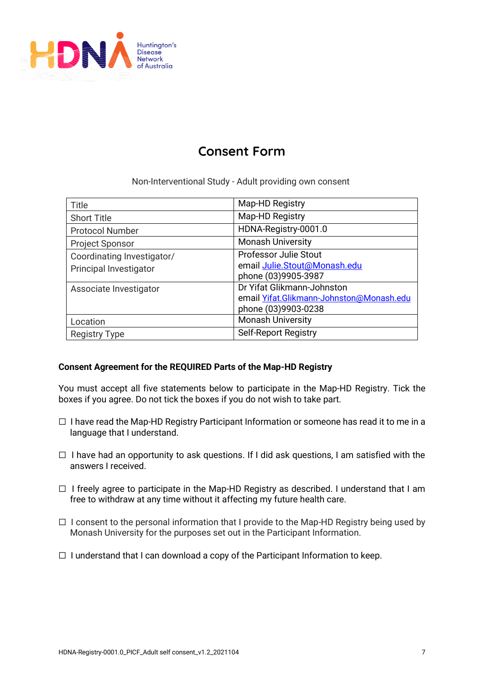

# **Consent Form**

Non-Interventional Study - Adult providing own consent

| Title                      | Map-HD Registry                          |
|----------------------------|------------------------------------------|
| <b>Short Title</b>         | Map-HD Registry                          |
| <b>Protocol Number</b>     | HDNA-Registry-0001.0                     |
| <b>Project Sponsor</b>     | <b>Monash University</b>                 |
| Coordinating Investigator/ | <b>Professor Julie Stout</b>             |
| Principal Investigator     | email Julie.Stout@Monash.edu             |
|                            | phone (03)9905-3987                      |
| Associate Investigator     | Dr Yifat Glikmann-Johnston               |
|                            | email Yifat.Glikmann-Johnston@Monash.edu |
|                            | phone (03)9903-0238                      |
| Location                   | <b>Monash University</b>                 |
| <b>Registry Type</b>       | <b>Self-Report Registry</b>              |

# **Consent Agreement for the REQUIRED Parts of the Map-HD Registry**

You must accept all five statements below to participate in the Map-HD Registry. Tick the boxes if you agree. Do not tick the boxes if you do not wish to take part.

- ☐ I have read the Map-HD Registry Participant Information or someone has read it to me in a language that I understand.
- $\Box$  I have had an opportunity to ask questions. If I did ask questions, I am satisfied with the answers I received.
- $\Box$  I freely agree to participate in the Map-HD Registry as described. I understand that I am free to withdraw at any time without it affecting my future health care.
- $\Box$  I consent to the personal information that I provide to the Map-HD Registry being used by Monash University for the purposes set out in the Participant Information.
- $\Box$  I understand that I can download a copy of the Participant Information to keep.